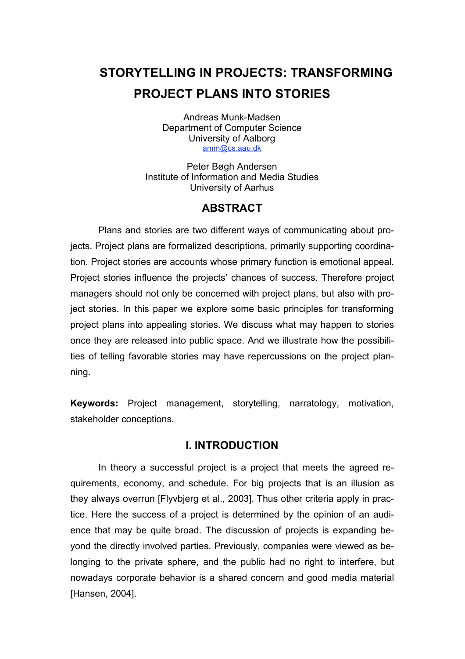# **STORYTELLING IN PROJECTS: TRANSFORMING PROJECT PLANS INTO STORIES**

Andreas Munk-Madsen Department of Computer Science University of Aalborg amm@cs.aau.dk

Peter Bøgh Andersen Institute of Information and Media Studies University of Aarhus

## **ABSTRACT**

Plans and stories are two different ways of communicating about projects. Project plans are formalized descriptions, primarily supporting coordination. Project stories are accounts whose primary function is emotional appeal. Project stories influence the projects' chances of success. Therefore project managers should not only be concerned with project plans, but also with project stories. In this paper we explore some basic principles for transforming project plans into appealing stories. We discuss what may happen to stories once they are released into public space. And we illustrate how the possibilities of telling favorable stories may have repercussions on the project planning.

**Keywords:** Project management, storytelling, narratology, motivation, stakeholder conceptions.

### **I. INTRODUCTION**

In theory a successful project is a project that meets the agreed requirements, economy, and schedule. For big projects that is an illusion as they always overrun [Flyvbjerg et al., 2003]. Thus other criteria apply in practice. Here the success of a project is determined by the opinion of an audience that may be quite broad. The discussion of projects is expanding beyond the directly involved parties. Previously, companies were viewed as belonging to the private sphere, and the public had no right to interfere, but nowadays corporate behavior is a shared concern and good media material [Hansen, 2004].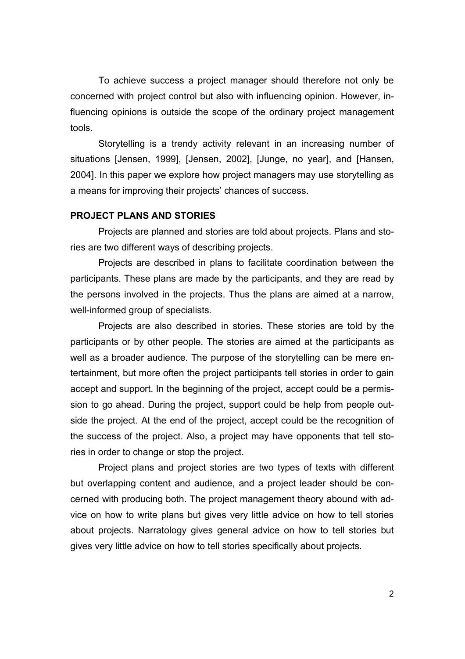To achieve success a project manager should therefore not only be concerned with project control but also with influencing opinion. However, influencing opinions is outside the scope of the ordinary project management tools.

Storytelling is a trendy activity relevant in an increasing number of situations [Jensen, 1999], [Jensen, 2002], [Junge, no year], and [Hansen, 2004]. In this paper we explore how project managers may use storytelling as a means for improving their projects' chances of success.

#### **PROJECT PLANS AND STORIES**

Projects are planned and stories are told about projects. Plans and stories are two different ways of describing projects.

Projects are described in plans to facilitate coordination between the participants. These plans are made by the participants, and they are read by the persons involved in the projects. Thus the plans are aimed at a narrow, well-informed group of specialists.

Projects are also described in stories. These stories are told by the participants or by other people. The stories are aimed at the participants as well as a broader audience. The purpose of the storytelling can be mere entertainment, but more often the project participants tell stories in order to gain accept and support. In the beginning of the project, accept could be a permission to go ahead. During the project, support could be help from people outside the project. At the end of the project, accept could be the recognition of the success of the project. Also, a project may have opponents that tell stories in order to change or stop the project.

Project plans and project stories are two types of texts with different but overlapping content and audience, and a project leader should be concerned with producing both. The project management theory abound with advice on how to write plans but gives very little advice on how to tell stories about projects. Narratology gives general advice on how to tell stories but gives very little advice on how to tell stories specifically about projects.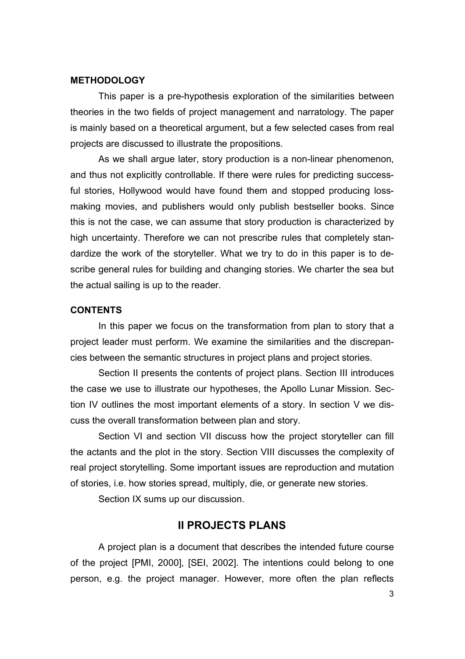#### **METHODOLOGY**

This paper is a pre-hypothesis exploration of the similarities between theories in the two fields of project management and narratology. The paper is mainly based on a theoretical argument, but a few selected cases from real projects are discussed to illustrate the propositions.

As we shall argue later, story production is a non-linear phenomenon, and thus not explicitly controllable. If there were rules for predicting successful stories, Hollywood would have found them and stopped producing lossmaking movies, and publishers would only publish bestseller books. Since this is not the case, we can assume that story production is characterized by high uncertainty. Therefore we can not prescribe rules that completely standardize the work of the storyteller. What we try to do in this paper is to describe general rules for building and changing stories. We charter the sea but the actual sailing is up to the reader.

#### **CONTENTS**

In this paper we focus on the transformation from plan to story that a project leader must perform. We examine the similarities and the discrepancies between the semantic structures in project plans and project stories.

Section II presents the contents of project plans. Section III introduces the case we use to illustrate our hypotheses, the Apollo Lunar Mission. Section IV outlines the most important elements of a story. In section V we discuss the overall transformation between plan and story.

Section VI and section VII discuss how the project storyteller can fill the actants and the plot in the story. Section VIII discusses the complexity of real project storytelling. Some important issues are reproduction and mutation of stories, i.e. how stories spread, multiply, die, or generate new stories.

Section IX sums up our discussion.

### **II PROJECTS PLANS**

A project plan is a document that describes the intended future course of the project [PMI, 2000], [SEI, 2002]. The intentions could belong to one person, e.g. the project manager. However, more often the plan reflects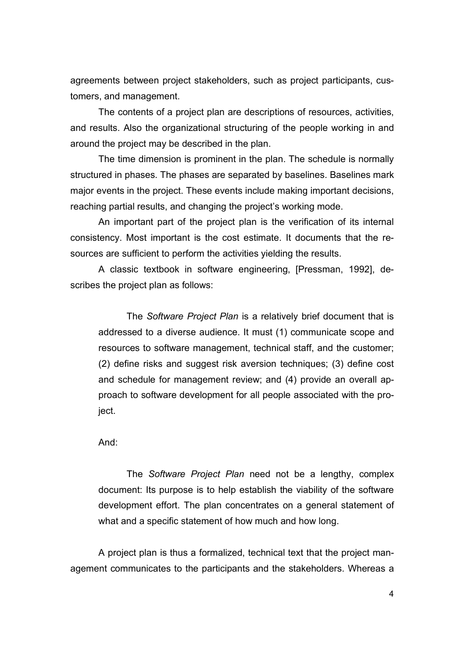agreements between project stakeholders, such as project participants, customers, and management.

The contents of a project plan are descriptions of resources, activities, and results. Also the organizational structuring of the people working in and around the project may be described in the plan.

The time dimension is prominent in the plan. The schedule is normally structured in phases. The phases are separated by baselines. Baselines mark major events in the project. These events include making important decisions, reaching partial results, and changing the project's working mode.

An important part of the project plan is the verification of its internal consistency. Most important is the cost estimate. It documents that the resources are sufficient to perform the activities yielding the results.

A classic textbook in software engineering, [Pressman, 1992], describes the project plan as follows:

The *Software Project Plan* is a relatively brief document that is addressed to a diverse audience. It must (1) communicate scope and resources to software management, technical staff, and the customer; (2) define risks and suggest risk aversion techniques; (3) define cost and schedule for management review; and (4) provide an overall approach to software development for all people associated with the project.

And:

The *Software Project Plan* need not be a lengthy, complex document: Its purpose is to help establish the viability of the software development effort. The plan concentrates on a general statement of what and a specific statement of how much and how long.

A project plan is thus a formalized, technical text that the project management communicates to the participants and the stakeholders. Whereas a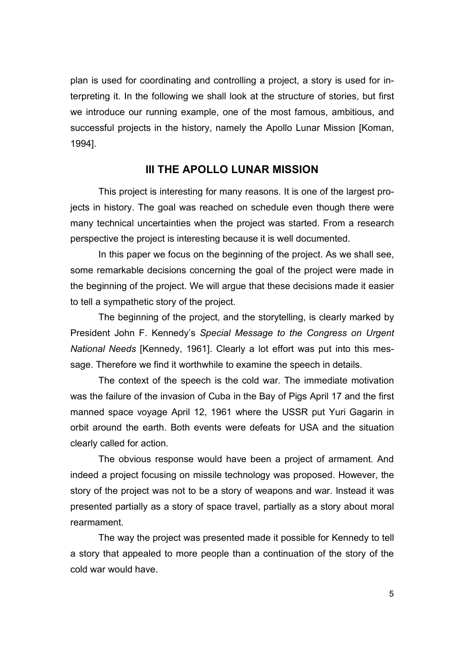plan is used for coordinating and controlling a project, a story is used for interpreting it. In the following we shall look at the structure of stories, but first we introduce our running example, one of the most famous, ambitious, and successful projects in the history, namely the Apollo Lunar Mission [Koman, 1994].

### **III THE APOLLO LUNAR MISSION**

This project is interesting for many reasons. It is one of the largest projects in history. The goal was reached on schedule even though there were many technical uncertainties when the project was started. From a research perspective the project is interesting because it is well documented.

In this paper we focus on the beginning of the project. As we shall see, some remarkable decisions concerning the goal of the project were made in the beginning of the project. We will argue that these decisions made it easier to tell a sympathetic story of the project.

The beginning of the project, and the storytelling, is clearly marked by President John F. Kennedy's *Special Message to the Congress on Urgent National Needs* [Kennedy, 1961]. Clearly a lot effort was put into this message. Therefore we find it worthwhile to examine the speech in details.

The context of the speech is the cold war. The immediate motivation was the failure of the invasion of Cuba in the Bay of Pigs April 17 and the first manned space voyage April 12, 1961 where the USSR put Yuri Gagarin in orbit around the earth. Both events were defeats for USA and the situation clearly called for action.

The obvious response would have been a project of armament. And indeed a project focusing on missile technology was proposed. However, the story of the project was not to be a story of weapons and war. Instead it was presented partially as a story of space travel, partially as a story about moral rearmament.

The way the project was presented made it possible for Kennedy to tell a story that appealed to more people than a continuation of the story of the cold war would have.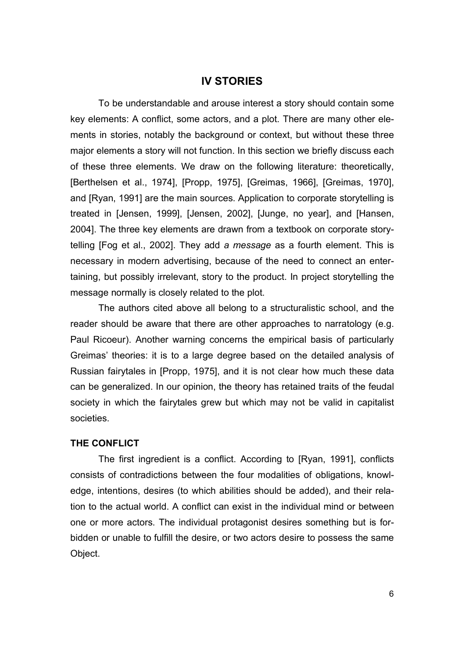### **IV STORIES**

To be understandable and arouse interest a story should contain some key elements: A conflict, some actors, and a plot. There are many other elements in stories, notably the background or context, but without these three major elements a story will not function. In this section we briefly discuss each of these three elements. We draw on the following literature: theoretically, [Berthelsen et al., 1974], [Propp, 1975], [Greimas, 1966], [Greimas, 1970], and [Ryan, 1991] are the main sources. Application to corporate storytelling is treated in [Jensen, 1999], [Jensen, 2002], [Junge, no year], and [Hansen, 2004]. The three key elements are drawn from a textbook on corporate storytelling [Fog et al., 2002]. They add *a message* as a fourth element. This is necessary in modern advertising, because of the need to connect an entertaining, but possibly irrelevant, story to the product. In project storytelling the message normally is closely related to the plot.

The authors cited above all belong to a structuralistic school, and the reader should be aware that there are other approaches to narratology (e.g. Paul Ricoeur). Another warning concerns the empirical basis of particularly Greimas' theories: it is to a large degree based on the detailed analysis of Russian fairytales in [Propp, 1975], and it is not clear how much these data can be generalized. In our opinion, the theory has retained traits of the feudal society in which the fairytales grew but which may not be valid in capitalist societies.

#### **THE CONFLICT**

The first ingredient is a conflict. According to [Ryan, 1991], conflicts consists of contradictions between the four modalities of obligations, knowledge, intentions, desires (to which abilities should be added), and their relation to the actual world. A conflict can exist in the individual mind or between one or more actors. The individual protagonist desires something but is forbidden or unable to fulfill the desire, or two actors desire to possess the same Object.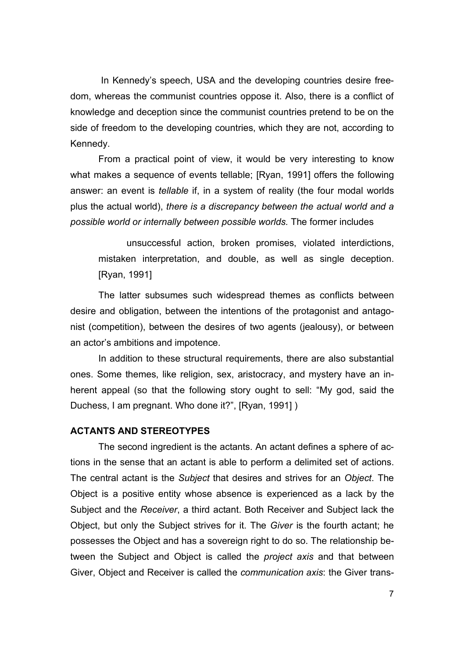In Kennedy's speech, USA and the developing countries desire freedom, whereas the communist countries oppose it. Also, there is a conflict of knowledge and deception since the communist countries pretend to be on the side of freedom to the developing countries, which they are not, according to Kennedy.

From a practical point of view, it would be very interesting to know what makes a sequence of events tellable; [Ryan, 1991] offers the following answer: an event is *tellable* if, in a system of reality (the four modal worlds plus the actual world), *there is a discrepancy between the actual world and a possible world or internally between possible worlds.* The former includes

unsuccessful action, broken promises, violated interdictions, mistaken interpretation, and double, as well as single deception. [Ryan, 1991]

The latter subsumes such widespread themes as conflicts between desire and obligation, between the intentions of the protagonist and antagonist (competition), between the desires of two agents (jealousy), or between an actor's ambitions and impotence.

In addition to these structural requirements, there are also substantial ones. Some themes, like religion, sex, aristocracy, and mystery have an inherent appeal (so that the following story ought to sell: "My god, said the Duchess, I am pregnant. Who done it?", [Ryan, 1991] )

#### **ACTANTS AND STEREOTYPES**

The second ingredient is the actants. An actant defines a sphere of actions in the sense that an actant is able to perform a delimited set of actions. The central actant is the *Subject* that desires and strives for an *Object*. The Object is a positive entity whose absence is experienced as a lack by the Subject and the *Receiver*, a third actant. Both Receiver and Subject lack the Object, but only the Subject strives for it. The *Giver* is the fourth actant; he possesses the Object and has a sovereign right to do so. The relationship between the Subject and Object is called the *project axis* and that between Giver, Object and Receiver is called the *communication axis*: the Giver trans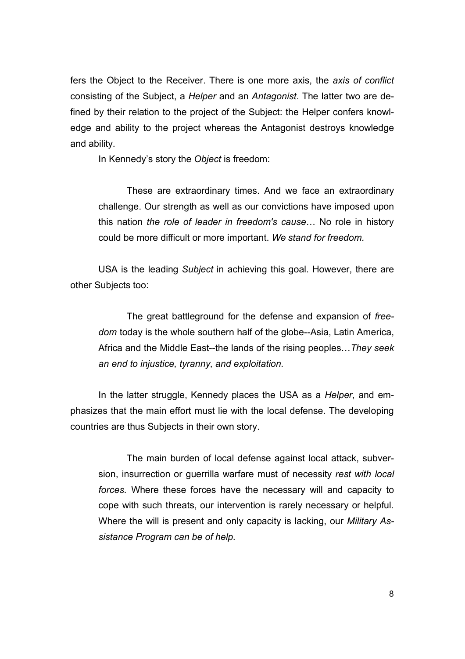fers the Object to the Receiver. There is one more axis, the *axis of conflict* consisting of the Subject, a *Helper* and an *Antagonist*. The latter two are defined by their relation to the project of the Subject: the Helper confers knowledge and ability to the project whereas the Antagonist destroys knowledge and ability.

In Kennedy's story the *Object* is freedom:

These are extraordinary times. And we face an extraordinary challenge. Our strength as well as our convictions have imposed upon this nation *the role of leader in freedom's cause*… No role in history could be more difficult or more important. *We stand for freedom.*

USA is the leading *Subject* in achieving this goal. However, there are other Subjects too:

The great battleground for the defense and expansion of *freedom* today is the whole southern half of the globe--Asia, Latin America, Africa and the Middle East--the lands of the rising peoples…*They seek an end to injustice, tyranny, and exploitation.*

In the latter struggle, Kennedy places the USA as a *Helper*, and emphasizes that the main effort must lie with the local defense. The developing countries are thus Subjects in their own story.

The main burden of local defense against local attack, subversion, insurrection or guerrilla warfare must of necessity *rest with local forces.* Where these forces have the necessary will and capacity to cope with such threats, our intervention is rarely necessary or helpful. Where the will is present and only capacity is lacking, our *Military Assistance Program can be of help.*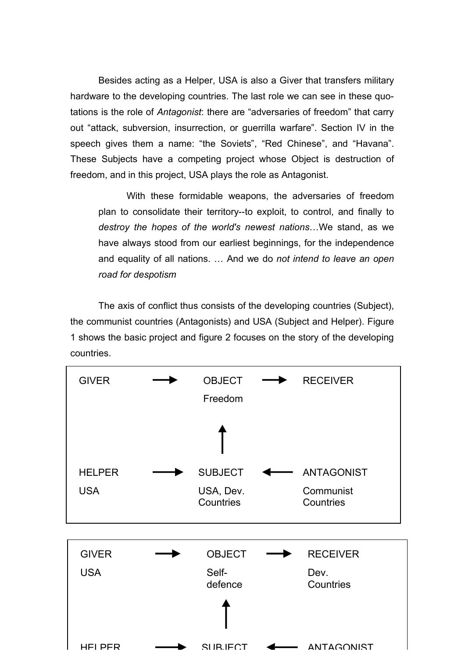Besides acting as a Helper, USA is also a Giver that transfers military hardware to the developing countries. The last role we can see in these quotations is the role of *Antagonist*: there are "adversaries of freedom" that carry out "attack, subversion, insurrection, or guerrilla warfare". Section IV in the speech gives them a name: "the Soviets", "Red Chinese", and "Havana". These Subjects have a competing project whose Object is destruction of freedom, and in this project, USA plays the role as Antagonist.

With these formidable weapons, the adversaries of freedom plan to consolidate their territory--to exploit, to control, and finally to *destroy the hopes of the world's newest nations*…We stand, as we have always stood from our earliest beginnings, for the independence and equality of all nations. … And we do *not intend to leave an open road for despotism*

The axis of conflict thus consists of the developing countries (Subject), the communist countries (Antagonists) and USA (Subject and Helper). Figure 1 shows the basic project and figure 2 focuses on the story of the developing countries.

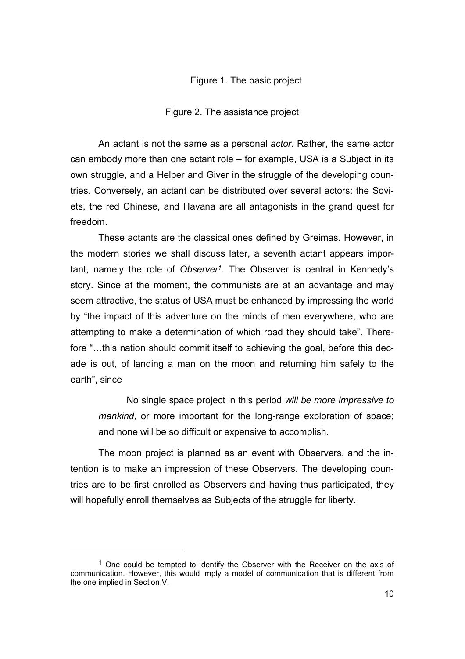### Figure 1. The basic project

Figure 2. The assistance project

An actant is not the same as a personal *actor*. Rather, the same actor can embody more than one actant role – for example, USA is a Subject in its own struggle, and a Helper and Giver in the struggle of the developing countries. Conversely, an actant can be distributed over several actors: the Soviets, the red Chinese, and Havana are all antagonists in the grand quest for freedom.

These actants are the classical ones defined by Greimas. However, in the modern stories we shall discuss later, a seventh actant appears important, namely the role of *Observer1*. The Observer is central in Kennedy's story. Since at the moment, the communists are at an advantage and may seem attractive, the status of USA must be enhanced by impressing the world by "the impact of this adventure on the minds of men everywhere, who are attempting to make a determination of which road they should take". Therefore "…this nation should commit itself to achieving the goal, before this decade is out, of landing a man on the moon and returning him safely to the earth", since

No single space project in this period *will be more impressive to mankind*, or more important for the long-range exploration of space; and none will be so difficult or expensive to accomplish.

The moon project is planned as an event with Observers, and the intention is to make an impression of these Observers. The developing countries are to be first enrolled as Observers and having thus participated, they will hopefully enroll themselves as Subjects of the struggle for liberty.

 $\overline{a}$ 

 $<sup>1</sup>$  One could be tempted to identify the Observer with the Receiver on the axis of</sup> communication. However, this would imply a model of communication that is different from the one implied in Section V.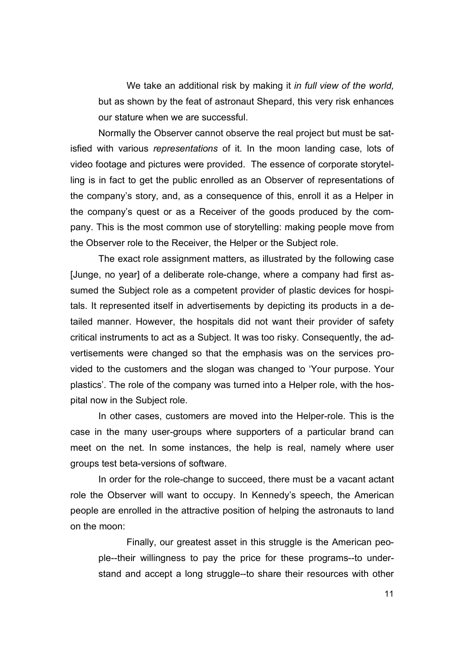We take an additional risk by making it *in full view of the world,* but as shown by the feat of astronaut Shepard, this very risk enhances our stature when we are successful.

Normally the Observer cannot observe the real project but must be satisfied with various *representations* of it. In the moon landing case, lots of video footage and pictures were provided. The essence of corporate storytelling is in fact to get the public enrolled as an Observer of representations of the company's story, and, as a consequence of this, enroll it as a Helper in the company's quest or as a Receiver of the goods produced by the company. This is the most common use of storytelling: making people move from the Observer role to the Receiver, the Helper or the Subject role.

The exact role assignment matters, as illustrated by the following case [Junge, no year] of a deliberate role-change, where a company had first assumed the Subject role as a competent provider of plastic devices for hospitals. It represented itself in advertisements by depicting its products in a detailed manner. However, the hospitals did not want their provider of safety critical instruments to act as a Subject. It was too risky. Consequently, the advertisements were changed so that the emphasis was on the services provided to the customers and the slogan was changed to 'Your purpose. Your plastics'. The role of the company was turned into a Helper role, with the hospital now in the Subject role.

In other cases, customers are moved into the Helper-role. This is the case in the many user-groups where supporters of a particular brand can meet on the net. In some instances, the help is real, namely where user groups test beta-versions of software.

In order for the role-change to succeed, there must be a vacant actant role the Observer will want to occupy. In Kennedy's speech, the American people are enrolled in the attractive position of helping the astronauts to land on the moon:

Finally, our greatest asset in this struggle is the American people--their willingness to pay the price for these programs--to understand and accept a long struggle--to share their resources with other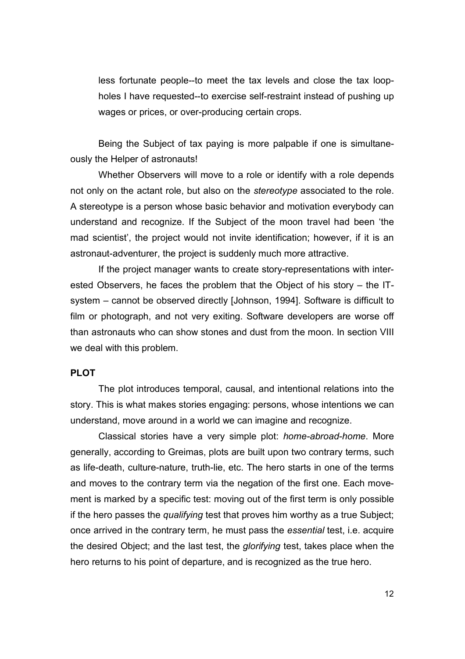less fortunate people--to meet the tax levels and close the tax loopholes I have requested--to exercise self-restraint instead of pushing up wages or prices, or over-producing certain crops.

Being the Subject of tax paying is more palpable if one is simultaneously the Helper of astronauts!

Whether Observers will move to a role or identify with a role depends not only on the actant role, but also on the *stereotype* associated to the role. A stereotype is a person whose basic behavior and motivation everybody can understand and recognize. If the Subject of the moon travel had been 'the mad scientist', the project would not invite identification; however, if it is an astronaut-adventurer, the project is suddenly much more attractive.

If the project manager wants to create story-representations with interested Observers, he faces the problem that the Object of his story – the ITsystem – cannot be observed directly [Johnson, 1994]. Software is difficult to film or photograph, and not very exiting. Software developers are worse off than astronauts who can show stones and dust from the moon. In section VIII we deal with this problem.

### **PLOT**

The plot introduces temporal, causal, and intentional relations into the story. This is what makes stories engaging: persons, whose intentions we can understand, move around in a world we can imagine and recognize.

Classical stories have a very simple plot: *home-abroad-home*. More generally, according to Greimas, plots are built upon two contrary terms, such as life-death, culture-nature, truth-lie, etc. The hero starts in one of the terms and moves to the contrary term via the negation of the first one. Each movement is marked by a specific test: moving out of the first term is only possible if the hero passes the *qualifying* test that proves him worthy as a true Subject; once arrived in the contrary term, he must pass the *essential* test, i.e. acquire the desired Object; and the last test, the *glorifying* test, takes place when the hero returns to his point of departure, and is recognized as the true hero.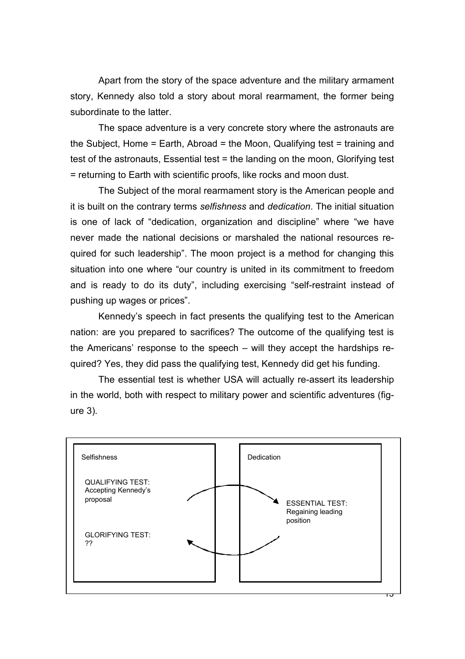Apart from the story of the space adventure and the military armament story, Kennedy also told a story about moral rearmament, the former being subordinate to the latter.

The space adventure is a very concrete story where the astronauts are the Subject, Home = Earth, Abroad = the Moon, Qualifying test = training and test of the astronauts, Essential test = the landing on the moon, Glorifying test = returning to Earth with scientific proofs, like rocks and moon dust.

The Subject of the moral rearmament story is the American people and it is built on the contrary terms *selfishness* and *dedication*. The initial situation is one of lack of "dedication, organization and discipline" where "we have never made the national decisions or marshaled the national resources required for such leadership". The moon project is a method for changing this situation into one where "our country is united in its commitment to freedom and is ready to do its duty", including exercising "self-restraint instead of pushing up wages or prices".

Kennedy's speech in fact presents the qualifying test to the American nation: are you prepared to sacrifices? The outcome of the qualifying test is the Americans' response to the speech – will they accept the hardships required? Yes, they did pass the qualifying test, Kennedy did get his funding.

The essential test is whether USA will actually re-assert its leadership in the world, both with respect to military power and scientific adventures (figure 3).

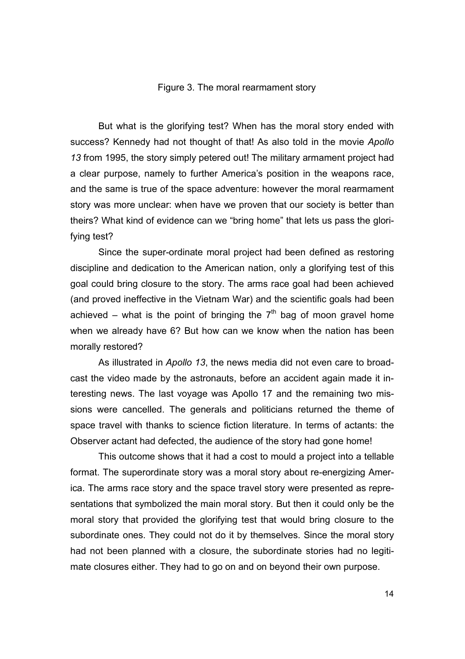#### Figure 3. The moral rearmament story

But what is the glorifying test? When has the moral story ended with success? Kennedy had not thought of that! As also told in the movie *Apollo 13* from 1995, the story simply petered out! The military armament project had a clear purpose, namely to further America's position in the weapons race, and the same is true of the space adventure: however the moral rearmament story was more unclear: when have we proven that our society is better than theirs? What kind of evidence can we "bring home" that lets us pass the glorifying test?

Since the super-ordinate moral project had been defined as restoring discipline and dedication to the American nation, only a glorifying test of this goal could bring closure to the story. The arms race goal had been achieved (and proved ineffective in the Vietnam War) and the scientific goals had been achieved – what is the point of bringing the  $7<sup>th</sup>$  bag of moon gravel home when we already have 6? But how can we know when the nation has been morally restored?

As illustrated in *Apollo 13*, the news media did not even care to broadcast the video made by the astronauts, before an accident again made it interesting news. The last voyage was Apollo 17 and the remaining two missions were cancelled. The generals and politicians returned the theme of space travel with thanks to science fiction literature. In terms of actants: the Observer actant had defected, the audience of the story had gone home!

This outcome shows that it had a cost to mould a project into a tellable format. The superordinate story was a moral story about re-energizing America. The arms race story and the space travel story were presented as representations that symbolized the main moral story. But then it could only be the moral story that provided the glorifying test that would bring closure to the subordinate ones. They could not do it by themselves. Since the moral story had not been planned with a closure, the subordinate stories had no legitimate closures either. They had to go on and on beyond their own purpose.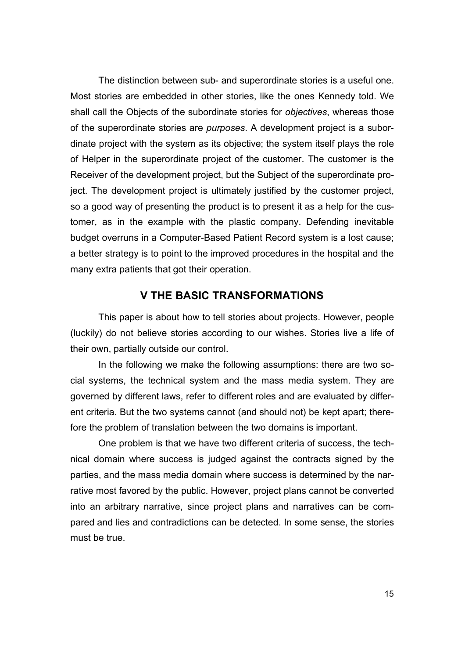The distinction between sub- and superordinate stories is a useful one. Most stories are embedded in other stories, like the ones Kennedy told. We shall call the Objects of the subordinate stories for *objectives*, whereas those of the superordinate stories are *purposes*. A development project is a subordinate project with the system as its objective; the system itself plays the role of Helper in the superordinate project of the customer. The customer is the Receiver of the development project, but the Subject of the superordinate project. The development project is ultimately justified by the customer project, so a good way of presenting the product is to present it as a help for the customer, as in the example with the plastic company. Defending inevitable budget overruns in a Computer-Based Patient Record system is a lost cause; a better strategy is to point to the improved procedures in the hospital and the many extra patients that got their operation.

### **V THE BASIC TRANSFORMATIONS**

This paper is about how to tell stories about projects. However, people (luckily) do not believe stories according to our wishes. Stories live a life of their own, partially outside our control.

In the following we make the following assumptions: there are two social systems, the technical system and the mass media system. They are governed by different laws, refer to different roles and are evaluated by different criteria. But the two systems cannot (and should not) be kept apart; therefore the problem of translation between the two domains is important.

One problem is that we have two different criteria of success, the technical domain where success is judged against the contracts signed by the parties, and the mass media domain where success is determined by the narrative most favored by the public. However, project plans cannot be converted into an arbitrary narrative, since project plans and narratives can be compared and lies and contradictions can be detected. In some sense, the stories must be true.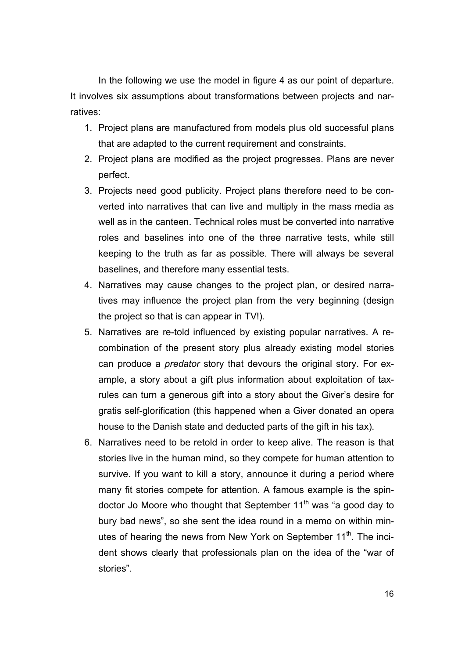In the following we use the model in figure 4 as our point of departure. It involves six assumptions about transformations between projects and narratives:

- 1. Project plans are manufactured from models plus old successful plans that are adapted to the current requirement and constraints.
- 2. Project plans are modified as the project progresses. Plans are never perfect.
- 3. Projects need good publicity. Project plans therefore need to be converted into narratives that can live and multiply in the mass media as well as in the canteen. Technical roles must be converted into narrative roles and baselines into one of the three narrative tests, while still keeping to the truth as far as possible. There will always be several baselines, and therefore many essential tests.
- 4. Narratives may cause changes to the project plan, or desired narratives may influence the project plan from the very beginning (design the project so that is can appear in TV!).
- 5. Narratives are re-told influenced by existing popular narratives. A recombination of the present story plus already existing model stories can produce a *predator* story that devours the original story. For example, a story about a gift plus information about exploitation of taxrules can turn a generous gift into a story about the Giver's desire for gratis self-glorification (this happened when a Giver donated an opera house to the Danish state and deducted parts of the gift in his tax).
- 6. Narratives need to be retold in order to keep alive. The reason is that stories live in the human mind, so they compete for human attention to survive. If you want to kill a story, announce it during a period where many fit stories compete for attention. A famous example is the spindoctor Jo Moore who thought that September  $11<sup>th</sup>$  was "a good day to bury bad news", so she sent the idea round in a memo on within minutes of hearing the news from New York on September 11<sup>th</sup>. The incident shows clearly that professionals plan on the idea of the "war of stories".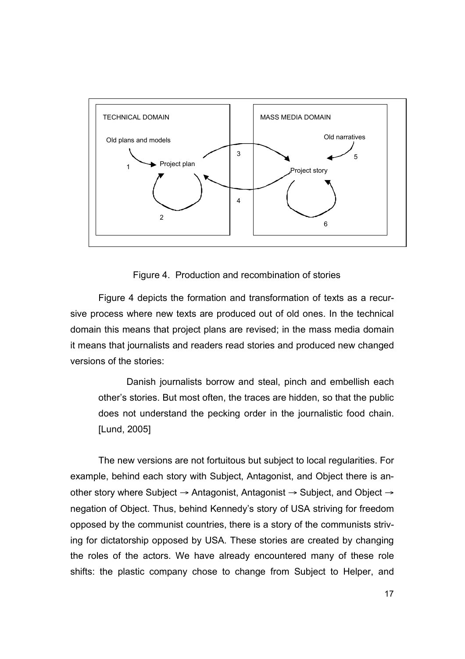

Figure 4. Production and recombination of stories

Figure 4 depicts the formation and transformation of texts as a recursive process where new texts are produced out of old ones. In the technical domain this means that project plans are revised; in the mass media domain it means that journalists and readers read stories and produced new changed versions of the stories:

Danish journalists borrow and steal, pinch and embellish each other's stories. But most often, the traces are hidden, so that the public does not understand the pecking order in the journalistic food chain. [Lund, 2005]

The new versions are not fortuitous but subject to local regularities. For example, behind each story with Subject, Antagonist, and Object there is another story where Subject → Antagonist, Antagonist → Subject, and Object → negation of Object. Thus, behind Kennedy's story of USA striving for freedom opposed by the communist countries, there is a story of the communists striving for dictatorship opposed by USA. These stories are created by changing the roles of the actors. We have already encountered many of these role shifts: the plastic company chose to change from Subject to Helper, and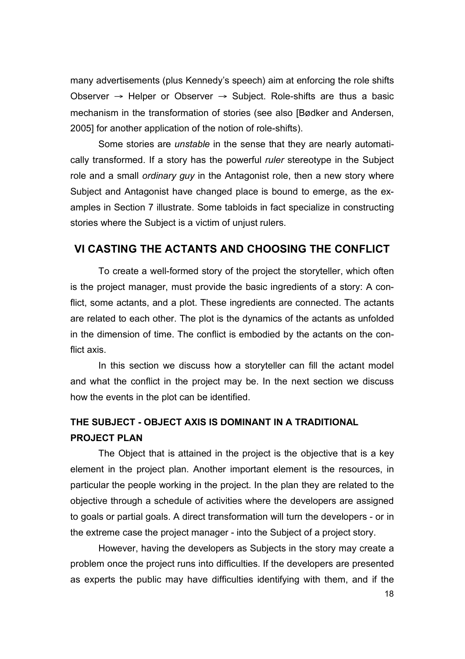many advertisements (plus Kennedy's speech) aim at enforcing the role shifts Observer  $\rightarrow$  Helper or Observer  $\rightarrow$  Subject. Role-shifts are thus a basic mechanism in the transformation of stories (see also [Bødker and Andersen, 2005] for another application of the notion of role-shifts).

Some stories are *unstable* in the sense that they are nearly automatically transformed. If a story has the powerful *ruler* stereotype in the Subject role and a small *ordinary guy* in the Antagonist role, then a new story where Subject and Antagonist have changed place is bound to emerge, as the examples in Section 7 illustrate. Some tabloids in fact specialize in constructing stories where the Subject is a victim of unjust rulers.

### **VI CASTING THE ACTANTS AND CHOOSING THE CONFLICT**

To create a well-formed story of the project the storyteller, which often is the project manager, must provide the basic ingredients of a story: A conflict, some actants, and a plot. These ingredients are connected. The actants are related to each other. The plot is the dynamics of the actants as unfolded in the dimension of time. The conflict is embodied by the actants on the conflict axis.

In this section we discuss how a storyteller can fill the actant model and what the conflict in the project may be. In the next section we discuss how the events in the plot can be identified.

# **THE SUBJECT - OBJECT AXIS IS DOMINANT IN A TRADITIONAL PROJECT PLAN**

The Object that is attained in the project is the objective that is a key element in the project plan. Another important element is the resources, in particular the people working in the project. In the plan they are related to the objective through a schedule of activities where the developers are assigned to goals or partial goals. A direct transformation will turn the developers - or in the extreme case the project manager - into the Subject of a project story.

However, having the developers as Subjects in the story may create a problem once the project runs into difficulties. If the developers are presented as experts the public may have difficulties identifying with them, and if the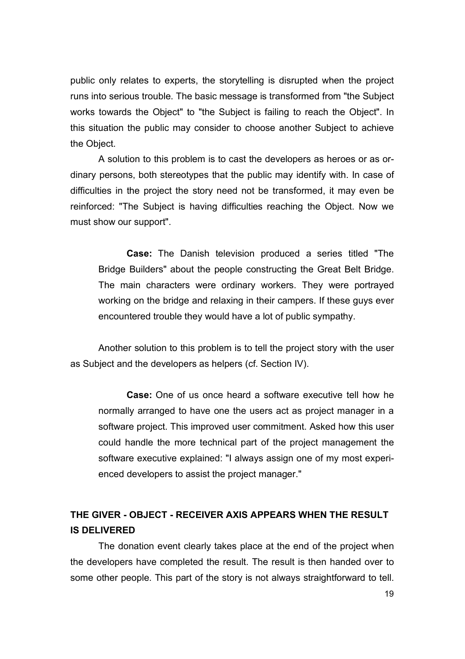public only relates to experts, the storytelling is disrupted when the project runs into serious trouble. The basic message is transformed from "the Subject works towards the Object" to "the Subject is failing to reach the Object". In this situation the public may consider to choose another Subject to achieve the Object.

A solution to this problem is to cast the developers as heroes or as ordinary persons, both stereotypes that the public may identify with. In case of difficulties in the project the story need not be transformed, it may even be reinforced: "The Subject is having difficulties reaching the Object. Now we must show our support".

**Case:** The Danish television produced a series titled "The Bridge Builders" about the people constructing the Great Belt Bridge. The main characters were ordinary workers. They were portrayed working on the bridge and relaxing in their campers. If these guys ever encountered trouble they would have a lot of public sympathy.

Another solution to this problem is to tell the project story with the user as Subject and the developers as helpers (cf. Section IV).

**Case:** One of us once heard a software executive tell how he normally arranged to have one the users act as project manager in a software project. This improved user commitment. Asked how this user could handle the more technical part of the project management the software executive explained: "I always assign one of my most experienced developers to assist the project manager."

# **THE GIVER - OBJECT - RECEIVER AXIS APPEARS WHEN THE RESULT IS DELIVERED**

The donation event clearly takes place at the end of the project when the developers have completed the result. The result is then handed over to some other people. This part of the story is not always straightforward to tell.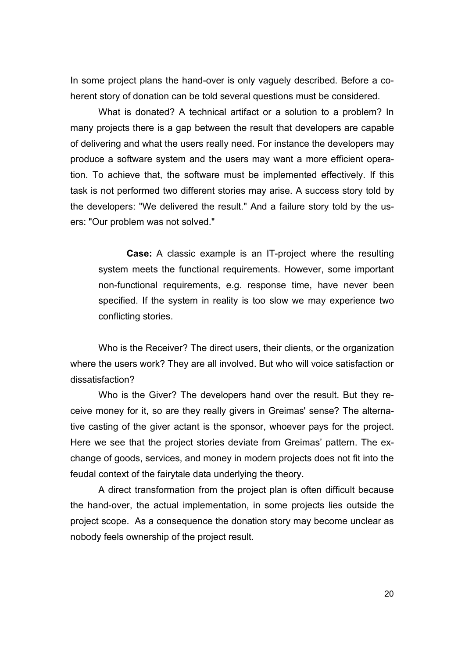In some project plans the hand-over is only vaguely described. Before a coherent story of donation can be told several questions must be considered.

What is donated? A technical artifact or a solution to a problem? In many projects there is a gap between the result that developers are capable of delivering and what the users really need. For instance the developers may produce a software system and the users may want a more efficient operation. To achieve that, the software must be implemented effectively. If this task is not performed two different stories may arise. A success story told by the developers: "We delivered the result." And a failure story told by the users: "Our problem was not solved."

**Case:** A classic example is an IT-project where the resulting system meets the functional requirements. However, some important non-functional requirements, e.g. response time, have never been specified. If the system in reality is too slow we may experience two conflicting stories.

Who is the Receiver? The direct users, their clients, or the organization where the users work? They are all involved. But who will voice satisfaction or dissatisfaction?

Who is the Giver? The developers hand over the result. But they receive money for it, so are they really givers in Greimas' sense? The alternative casting of the giver actant is the sponsor, whoever pays for the project. Here we see that the project stories deviate from Greimas' pattern. The exchange of goods, services, and money in modern projects does not fit into the feudal context of the fairytale data underlying the theory.

A direct transformation from the project plan is often difficult because the hand-over, the actual implementation, in some projects lies outside the project scope. As a consequence the donation story may become unclear as nobody feels ownership of the project result.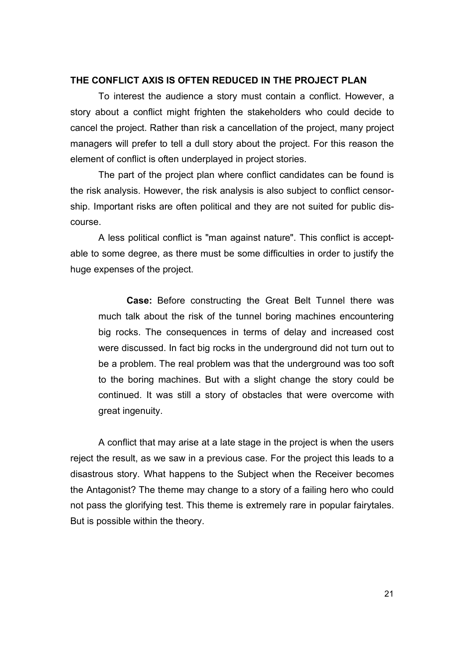### **THE CONFLICT AXIS IS OFTEN REDUCED IN THE PROJECT PLAN**

To interest the audience a story must contain a conflict. However, a story about a conflict might frighten the stakeholders who could decide to cancel the project. Rather than risk a cancellation of the project, many project managers will prefer to tell a dull story about the project. For this reason the element of conflict is often underplayed in project stories.

The part of the project plan where conflict candidates can be found is the risk analysis. However, the risk analysis is also subject to conflict censorship. Important risks are often political and they are not suited for public discourse.

A less political conflict is "man against nature". This conflict is acceptable to some degree, as there must be some difficulties in order to justify the huge expenses of the project.

**Case:** Before constructing the Great Belt Tunnel there was much talk about the risk of the tunnel boring machines encountering big rocks. The consequences in terms of delay and increased cost were discussed. In fact big rocks in the underground did not turn out to be a problem. The real problem was that the underground was too soft to the boring machines. But with a slight change the story could be continued. It was still a story of obstacles that were overcome with great ingenuity.

A conflict that may arise at a late stage in the project is when the users reject the result, as we saw in a previous case. For the project this leads to a disastrous story. What happens to the Subject when the Receiver becomes the Antagonist? The theme may change to a story of a failing hero who could not pass the glorifying test. This theme is extremely rare in popular fairytales. But is possible within the theory.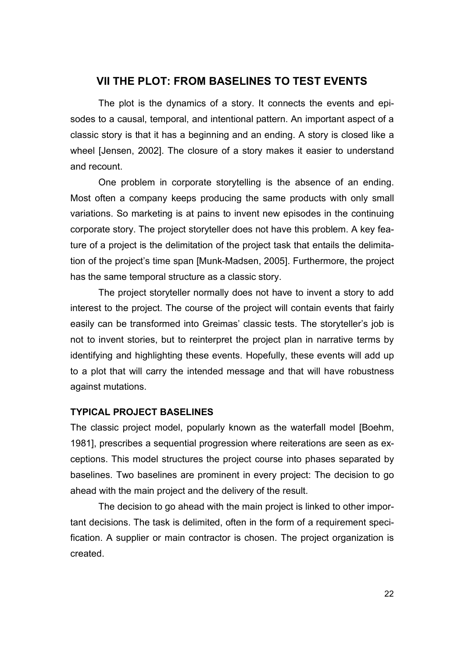### **VII THE PLOT: FROM BASELINES TO TEST EVENTS**

The plot is the dynamics of a story. It connects the events and episodes to a causal, temporal, and intentional pattern. An important aspect of a classic story is that it has a beginning and an ending. A story is closed like a wheel [Jensen, 2002]. The closure of a story makes it easier to understand and recount.

One problem in corporate storytelling is the absence of an ending. Most often a company keeps producing the same products with only small variations. So marketing is at pains to invent new episodes in the continuing corporate story. The project storyteller does not have this problem. A key feature of a project is the delimitation of the project task that entails the delimitation of the project's time span [Munk-Madsen, 2005]. Furthermore, the project has the same temporal structure as a classic story.

The project storyteller normally does not have to invent a story to add interest to the project. The course of the project will contain events that fairly easily can be transformed into Greimas' classic tests. The storyteller's job is not to invent stories, but to reinterpret the project plan in narrative terms by identifying and highlighting these events. Hopefully, these events will add up to a plot that will carry the intended message and that will have robustness against mutations.

### **TYPICAL PROJECT BASELINES**

The classic project model, popularly known as the waterfall model [Boehm, 1981], prescribes a sequential progression where reiterations are seen as exceptions. This model structures the project course into phases separated by baselines. Two baselines are prominent in every project: The decision to go ahead with the main project and the delivery of the result.

The decision to go ahead with the main project is linked to other important decisions. The task is delimited, often in the form of a requirement specification. A supplier or main contractor is chosen. The project organization is created.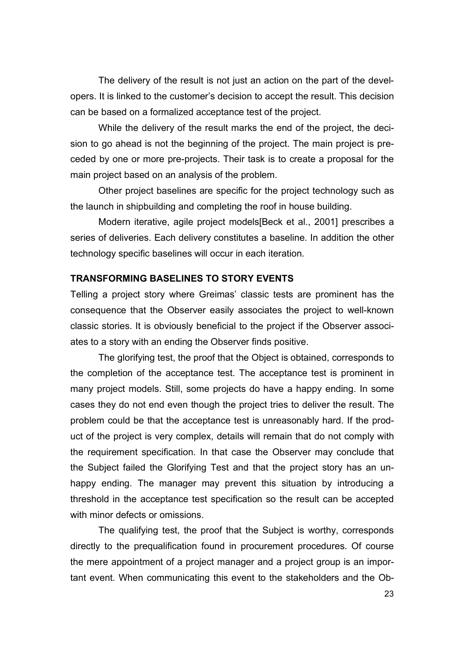The delivery of the result is not just an action on the part of the developers. It is linked to the customer's decision to accept the result. This decision can be based on a formalized acceptance test of the project.

While the delivery of the result marks the end of the project, the decision to go ahead is not the beginning of the project. The main project is preceded by one or more pre-projects. Their task is to create a proposal for the main project based on an analysis of the problem.

Other project baselines are specific for the project technology such as the launch in shipbuilding and completing the roof in house building.

Modern iterative, agile project models[Beck et al., 2001] prescribes a series of deliveries. Each delivery constitutes a baseline. In addition the other technology specific baselines will occur in each iteration.

#### **TRANSFORMING BASELINES TO STORY EVENTS**

Telling a project story where Greimas' classic tests are prominent has the consequence that the Observer easily associates the project to well-known classic stories. It is obviously beneficial to the project if the Observer associates to a story with an ending the Observer finds positive.

The glorifying test, the proof that the Object is obtained, corresponds to the completion of the acceptance test. The acceptance test is prominent in many project models. Still, some projects do have a happy ending. In some cases they do not end even though the project tries to deliver the result. The problem could be that the acceptance test is unreasonably hard. If the product of the project is very complex, details will remain that do not comply with the requirement specification. In that case the Observer may conclude that the Subject failed the Glorifying Test and that the project story has an unhappy ending. The manager may prevent this situation by introducing a threshold in the acceptance test specification so the result can be accepted with minor defects or omissions.

The qualifying test, the proof that the Subject is worthy, corresponds directly to the prequalification found in procurement procedures. Of course the mere appointment of a project manager and a project group is an important event. When communicating this event to the stakeholders and the Ob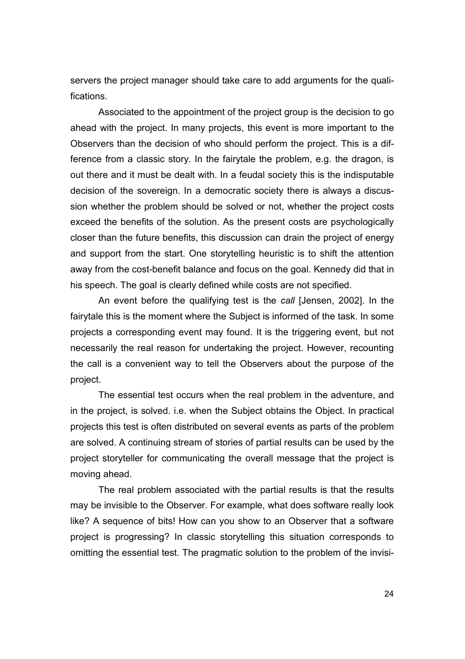servers the project manager should take care to add arguments for the qualifications.

Associated to the appointment of the project group is the decision to go ahead with the project. In many projects, this event is more important to the Observers than the decision of who should perform the project. This is a difference from a classic story. In the fairytale the problem, e.g. the dragon, is out there and it must be dealt with. In a feudal society this is the indisputable decision of the sovereign. In a democratic society there is always a discussion whether the problem should be solved or not, whether the project costs exceed the benefits of the solution. As the present costs are psychologically closer than the future benefits, this discussion can drain the project of energy and support from the start. One storytelling heuristic is to shift the attention away from the cost-benefit balance and focus on the goal. Kennedy did that in his speech. The goal is clearly defined while costs are not specified.

An event before the qualifying test is the *call* [Jensen, 2002]. In the fairytale this is the moment where the Subject is informed of the task. In some projects a corresponding event may found. It is the triggering event, but not necessarily the real reason for undertaking the project. However, recounting the call is a convenient way to tell the Observers about the purpose of the project.

The essential test occurs when the real problem in the adventure, and in the project, is solved. i.e. when the Subject obtains the Object. In practical projects this test is often distributed on several events as parts of the problem are solved. A continuing stream of stories of partial results can be used by the project storyteller for communicating the overall message that the project is moving ahead.

The real problem associated with the partial results is that the results may be invisible to the Observer. For example, what does software really look like? A sequence of bits! How can you show to an Observer that a software project is progressing? In classic storytelling this situation corresponds to omitting the essential test. The pragmatic solution to the problem of the invisi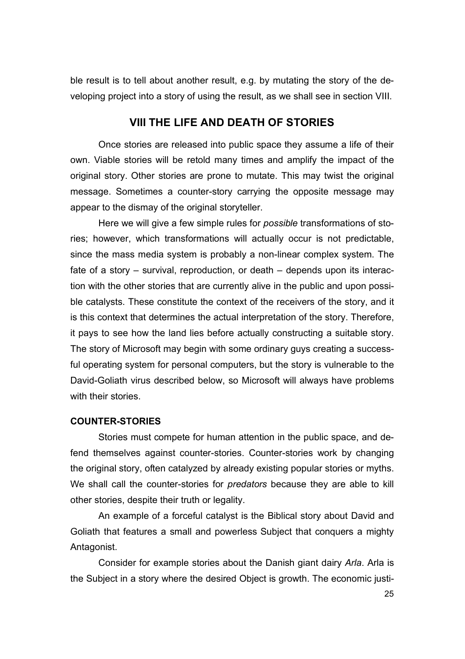ble result is to tell about another result, e.g. by mutating the story of the developing project into a story of using the result, as we shall see in section VIII.

### **VIII THE LIFE AND DEATH OF STORIES**

Once stories are released into public space they assume a life of their own. Viable stories will be retold many times and amplify the impact of the original story. Other stories are prone to mutate. This may twist the original message. Sometimes a counter-story carrying the opposite message may appear to the dismay of the original storyteller.

Here we will give a few simple rules for *possible* transformations of stories; however, which transformations will actually occur is not predictable, since the mass media system is probably a non-linear complex system. The fate of a story – survival, reproduction, or death – depends upon its interaction with the other stories that are currently alive in the public and upon possible catalysts. These constitute the context of the receivers of the story, and it is this context that determines the actual interpretation of the story. Therefore, it pays to see how the land lies before actually constructing a suitable story. The story of Microsoft may begin with some ordinary guys creating a successful operating system for personal computers, but the story is vulnerable to the David-Goliath virus described below, so Microsoft will always have problems with their stories.

#### **COUNTER-STORIES**

Stories must compete for human attention in the public space, and defend themselves against counter-stories. Counter-stories work by changing the original story, often catalyzed by already existing popular stories or myths. We shall call the counter-stories for *predators* because they are able to kill other stories, despite their truth or legality.

An example of a forceful catalyst is the Biblical story about David and Goliath that features a small and powerless Subject that conquers a mighty Antagonist.

Consider for example stories about the Danish giant dairy *Arla*. Arla is the Subject in a story where the desired Object is growth. The economic justi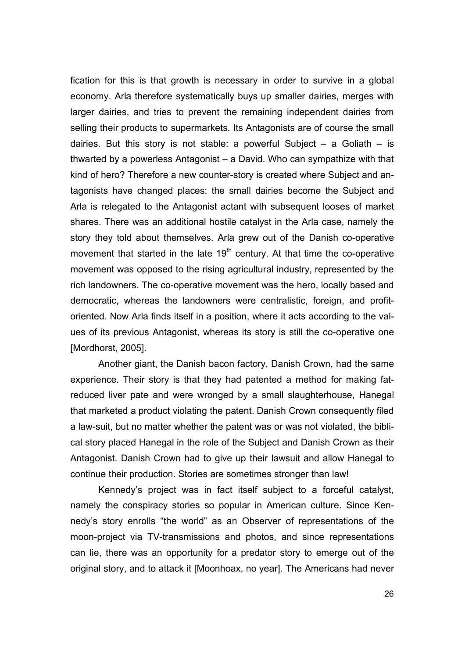fication for this is that growth is necessary in order to survive in a global economy. Arla therefore systematically buys up smaller dairies, merges with larger dairies, and tries to prevent the remaining independent dairies from selling their products to supermarkets. Its Antagonists are of course the small dairies. But this story is not stable: a powerful Subject  $-$  a Goliath  $-$  is thwarted by a powerless Antagonist – a David. Who can sympathize with that kind of hero? Therefore a new counter-story is created where Subject and antagonists have changed places: the small dairies become the Subject and Arla is relegated to the Antagonist actant with subsequent looses of market shares. There was an additional hostile catalyst in the Arla case, namely the story they told about themselves. Arla grew out of the Danish co-operative movement that started in the late  $19<sup>th</sup>$  century. At that time the co-operative movement was opposed to the rising agricultural industry, represented by the rich landowners. The co-operative movement was the hero, locally based and democratic, whereas the landowners were centralistic, foreign, and profitoriented. Now Arla finds itself in a position, where it acts according to the values of its previous Antagonist, whereas its story is still the co-operative one [Mordhorst, 2005].

Another giant, the Danish bacon factory, Danish Crown, had the same experience. Their story is that they had patented a method for making fatreduced liver pate and were wronged by a small slaughterhouse, Hanegal that marketed a product violating the patent. Danish Crown consequently filed a law-suit, but no matter whether the patent was or was not violated, the biblical story placed Hanegal in the role of the Subject and Danish Crown as their Antagonist. Danish Crown had to give up their lawsuit and allow Hanegal to continue their production. Stories are sometimes stronger than law!

Kennedy's project was in fact itself subject to a forceful catalyst, namely the conspiracy stories so popular in American culture. Since Kennedy's story enrolls "the world" as an Observer of representations of the moon-project via TV-transmissions and photos, and since representations can lie, there was an opportunity for a predator story to emerge out of the original story, and to attack it [Moonhoax, no year]. The Americans had never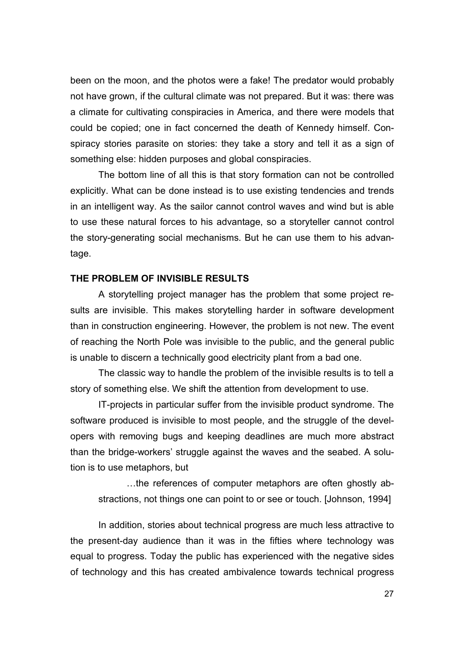been on the moon, and the photos were a fake! The predator would probably not have grown, if the cultural climate was not prepared. But it was: there was a climate for cultivating conspiracies in America, and there were models that could be copied; one in fact concerned the death of Kennedy himself. Conspiracy stories parasite on stories: they take a story and tell it as a sign of something else: hidden purposes and global conspiracies.

The bottom line of all this is that story formation can not be controlled explicitly. What can be done instead is to use existing tendencies and trends in an intelligent way. As the sailor cannot control waves and wind but is able to use these natural forces to his advantage, so a storyteller cannot control the story-generating social mechanisms. But he can use them to his advantage.

#### **THE PROBLEM OF INVISIBLE RESULTS**

A storytelling project manager has the problem that some project results are invisible. This makes storytelling harder in software development than in construction engineering. However, the problem is not new. The event of reaching the North Pole was invisible to the public, and the general public is unable to discern a technically good electricity plant from a bad one.

The classic way to handle the problem of the invisible results is to tell a story of something else. We shift the attention from development to use.

IT-projects in particular suffer from the invisible product syndrome. The software produced is invisible to most people, and the struggle of the developers with removing bugs and keeping deadlines are much more abstract than the bridge-workers' struggle against the waves and the seabed. A solution is to use metaphors, but

…the references of computer metaphors are often ghostly abstractions, not things one can point to or see or touch. [Johnson, 1994]

In addition, stories about technical progress are much less attractive to the present-day audience than it was in the fifties where technology was equal to progress. Today the public has experienced with the negative sides of technology and this has created ambivalence towards technical progress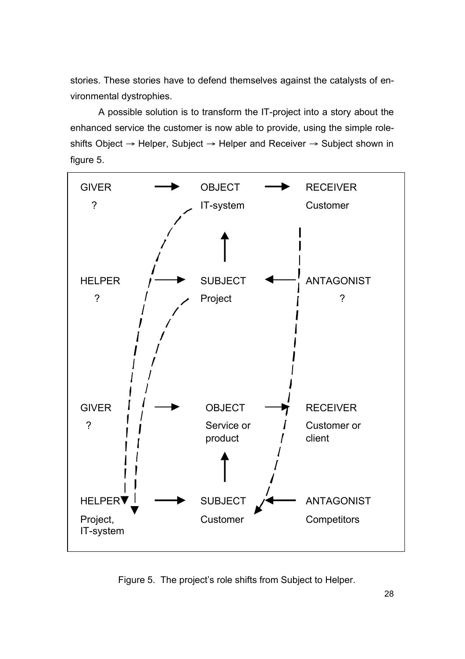stories. These stories have to defend themselves against the catalysts of environmental dystrophies.

A possible solution is to transform the IT-project into a story about the enhanced service the customer is now able to provide, using the simple roleshifts Object  $\rightarrow$  Helper, Subject  $\rightarrow$  Helper and Receiver  $\rightarrow$  Subject shown in figure 5.



Figure 5. The project's role shifts from Subject to Helper.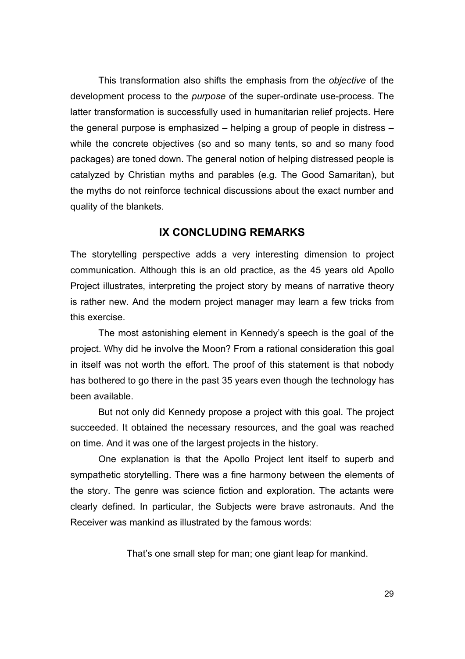This transformation also shifts the emphasis from the *objective* of the development process to the *purpose* of the super-ordinate use-process. The latter transformation is successfully used in humanitarian relief projects. Here the general purpose is emphasized – helping a group of people in distress – while the concrete objectives (so and so many tents, so and so many food packages) are toned down. The general notion of helping distressed people is catalyzed by Christian myths and parables (e.g. The Good Samaritan), but the myths do not reinforce technical discussions about the exact number and quality of the blankets.

### **IX CONCLUDING REMARKS**

The storytelling perspective adds a very interesting dimension to project communication. Although this is an old practice, as the 45 years old Apollo Project illustrates, interpreting the project story by means of narrative theory is rather new. And the modern project manager may learn a few tricks from this exercise.

The most astonishing element in Kennedy's speech is the goal of the project. Why did he involve the Moon? From a rational consideration this goal in itself was not worth the effort. The proof of this statement is that nobody has bothered to go there in the past 35 years even though the technology has been available.

But not only did Kennedy propose a project with this goal. The project succeeded. It obtained the necessary resources, and the goal was reached on time. And it was one of the largest projects in the history.

One explanation is that the Apollo Project lent itself to superb and sympathetic storytelling. There was a fine harmony between the elements of the story. The genre was science fiction and exploration. The actants were clearly defined. In particular, the Subjects were brave astronauts. And the Receiver was mankind as illustrated by the famous words:

That's one small step for man; one giant leap for mankind.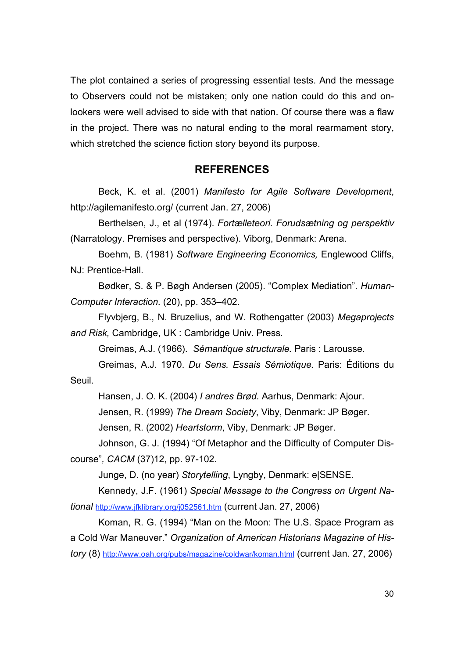The plot contained a series of progressing essential tests. And the message to Observers could not be mistaken; only one nation could do this and onlookers were well advised to side with that nation. Of course there was a flaw in the project. There was no natural ending to the moral rearmament story, which stretched the science fiction story beyond its purpose.

### **REFERENCES**

Beck, K. et al. (2001) *Manifesto for Agile Software Development*, http://agilemanifesto.org/ (current Jan. 27, 2006)

Berthelsen, J., et al (1974). *Fortælleteori. Forudsætning og perspektiv* (Narratology. Premises and perspective). Viborg, Denmark: Arena.

Boehm, B. (1981) *Software Engineering Economics,* Englewood Cliffs, NJ: Prentice-Hall.

Bødker, S. & P. Bøgh Andersen (2005). "Complex Mediation". *Human-Computer Interaction.* (20), pp. 353–402.

Flyvbjerg, B., N. Bruzelius, and W. Rothengatter (2003) *Megaprojects and Risk,* Cambridge, UK : Cambridge Univ. Press.

Greimas, A.J. (1966). *Sémantique structurale.* Paris : Larousse.

Greimas, A.J. 1970. *Du Sens. Essais Sémiotique.* Paris: Éditions du Seuil.

Hansen, J. O. K. (2004) *I andres Brød.* Aarhus, Denmark: Ajour.

Jensen, R. (1999) *The Dream Society*, Viby, Denmark: JP Bøger.

Jensen, R. (2002) *Heartstorm*, Viby, Denmark: JP Bøger.

Johnson, G. J. (1994) "Of Metaphor and the Difficulty of Computer Discourse"*, CACM* (37)12, pp. 97-102.

Junge, D. (no year) *Storytelling*, Lyngby, Denmark: e|SENSE.

Kennedy, J.F. (1961) *Special Message to the Congress on Urgent National* http://www.jfklibrary.org/j052561.htm (current Jan. 27, 2006)

Koman, R. G. (1994) "Man on the Moon: The U.S. Space Program as a Cold War Maneuver." *Organization of American Historians Magazine of History* (8) http://www.oah.org/pubs/magazine/coldwar/koman.html (current Jan. 27, 2006)